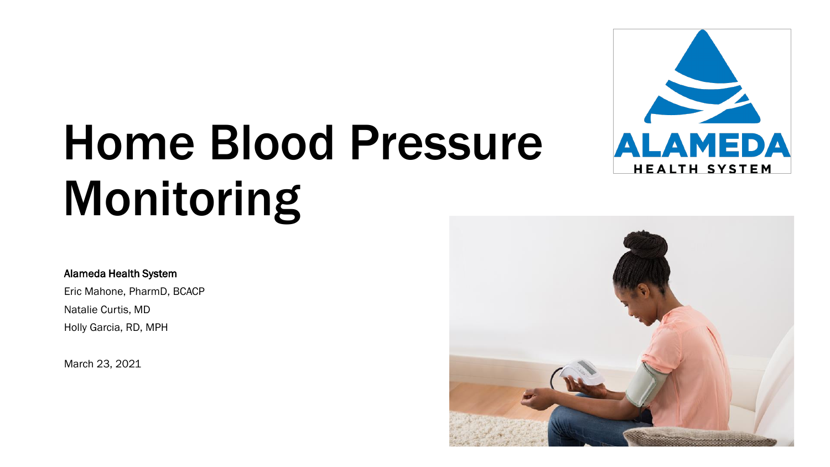# Home Blood Pressure Monitoring



#### Alameda Health System

Eric Mahone, PharmD, BCACP Natalie Curtis, MD

Holly Garcia, RD, MPH

March 23, 2021

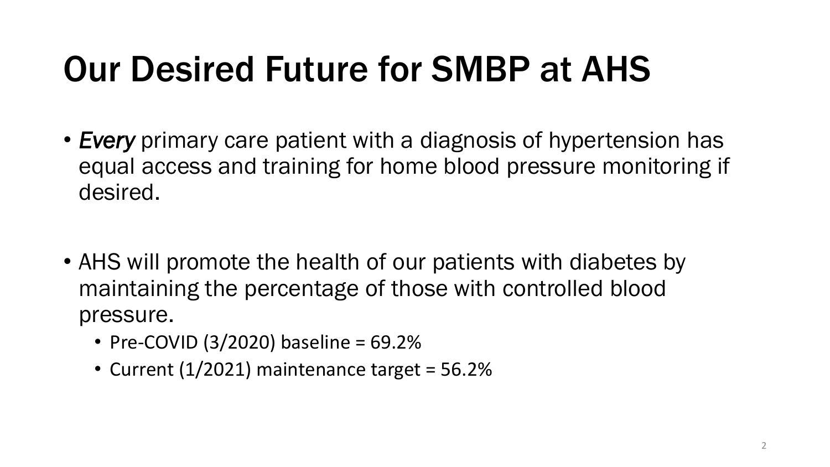# Our Desired Future for SMBP at AHS

- *Every* primary care patient with a diagnosis of hypertension has equal access and training for home blood pressure monitoring if desired.
- AHS will promote the health of our patients with diabetes by maintaining the percentage of those with controlled blood pressure.
	- Pre-COVID  $(3/2020)$  baseline = 69.2%
	- Current (1/2021) maintenance target = 56.2%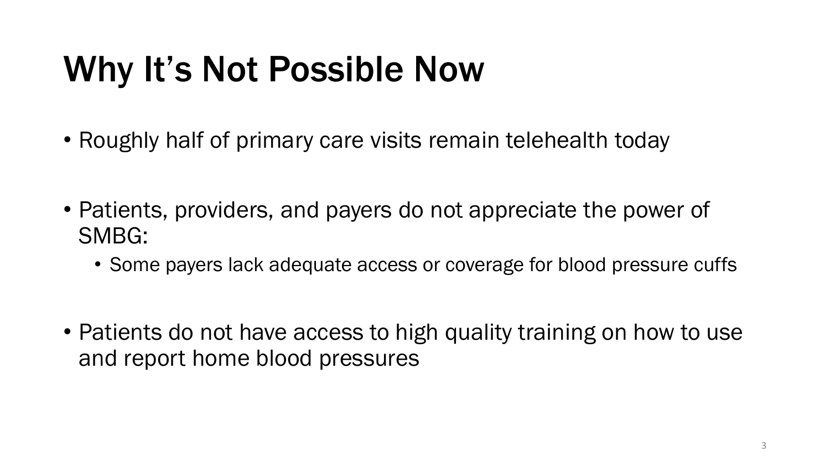# Why It's Not Possible Now

- Roughly half of primary care visits remain telehealth today
- Patients, providers, and payers do not appreciate the power of SMBG:
	- Some payers lack adequate access or coverage for blood pressure cuffs
- Patients do not have access to high quality training on how to use and report home blood pressures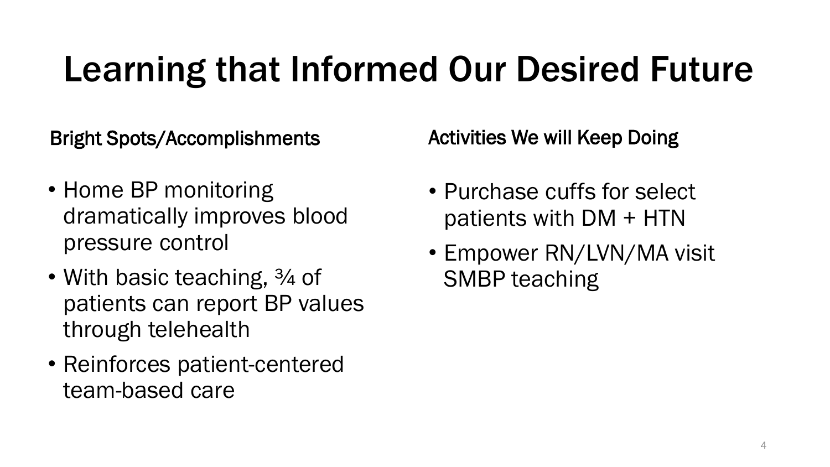## Learning that Informed Our Desired Future

Bright Spots/Accomplishments

Activities We will Keep Doing

- Home BP monitoring dramatically improves blood pressure control
- With basic teaching, 3/4 of patients can report BP values through telehealth
- Reinforces patient-centered team-based care
- Purchase cuffs for select patients with DM + HTN
- Empower RN/LVN/MA visit SMBP teaching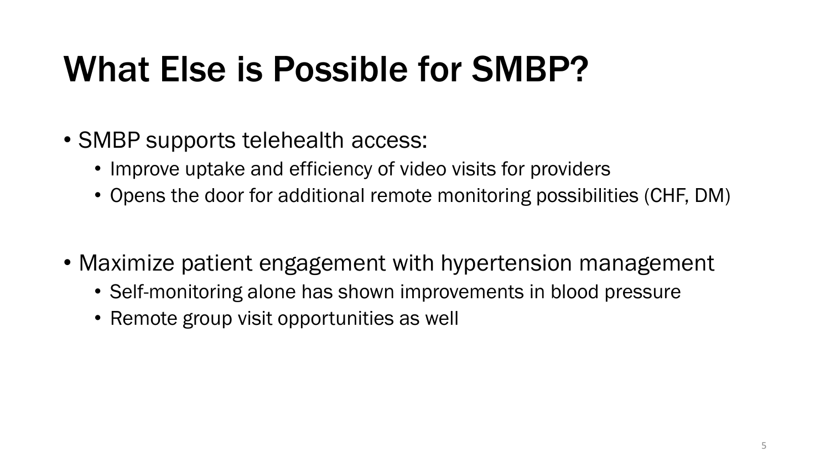#### What Else is Possible for SMBP?

- SMBP supports telehealth access:
	- Improve uptake and efficiency of video visits for providers
	- Opens the door for additional remote monitoring possibilities (CHF, DM)
- Maximize patient engagement with hypertension management
	- Self-monitoring alone has shown improvements in blood pressure
	- Remote group visit opportunities as well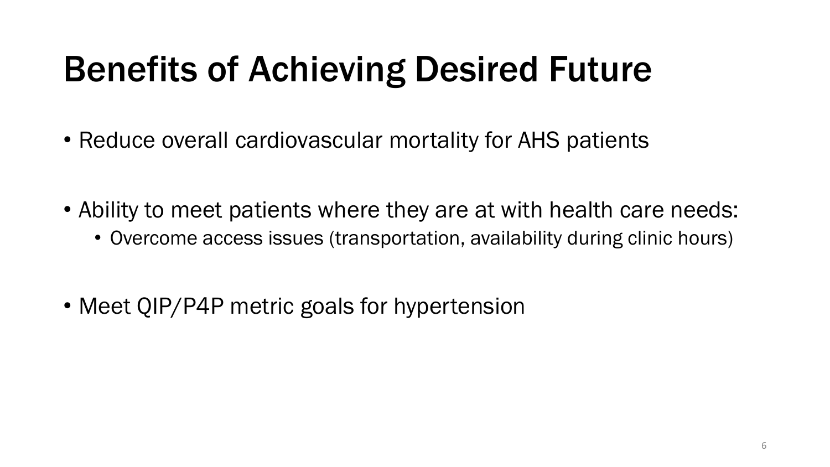### Benefits of Achieving Desired Future

- Reduce overall cardiovascular mortality for AHS patients
- Ability to meet patients where they are at with health care needs:
	- Overcome access issues (transportation, availability during clinic hours)
- Meet QIP/P4P metric goals for hypertension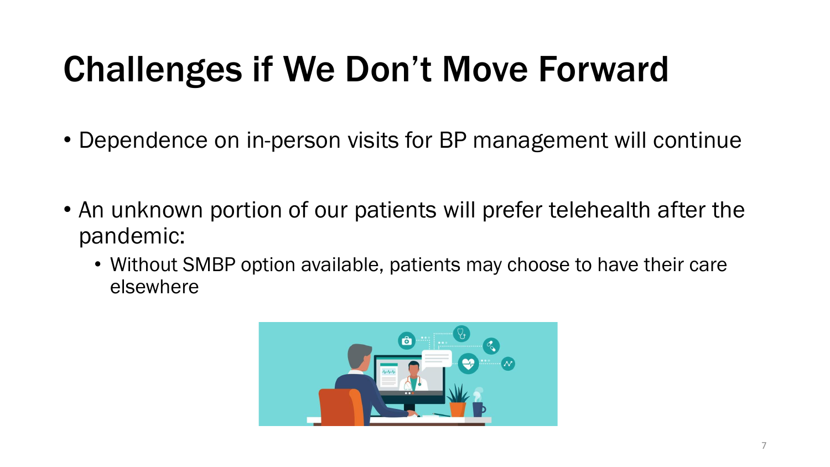# Challenges if We Don't Move Forward

- Dependence on in-person visits for BP management will continue
- An unknown portion of our patients will prefer telehealth after the pandemic:
	- Without SMBP option available, patients may choose to have their care elsewhere

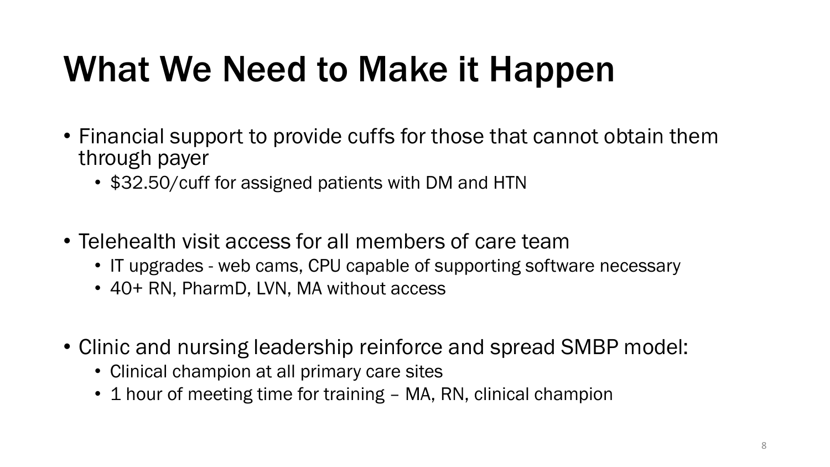#### What We Need to Make it Happen

- Financial support to provide cuffs for those that cannot obtain them through payer
	- \$32.50/cuff for assigned patients with DM and HTN
- Telehealth visit access for all members of care team
	- IT upgrades web cams, CPU capable of supporting software necessary
	- 40+ RN, PharmD, LVN, MA without access
- Clinic and nursing leadership reinforce and spread SMBP model:
	- Clinical champion at all primary care sites
	- 1 hour of meeting time for training MA, RN, clinical champion